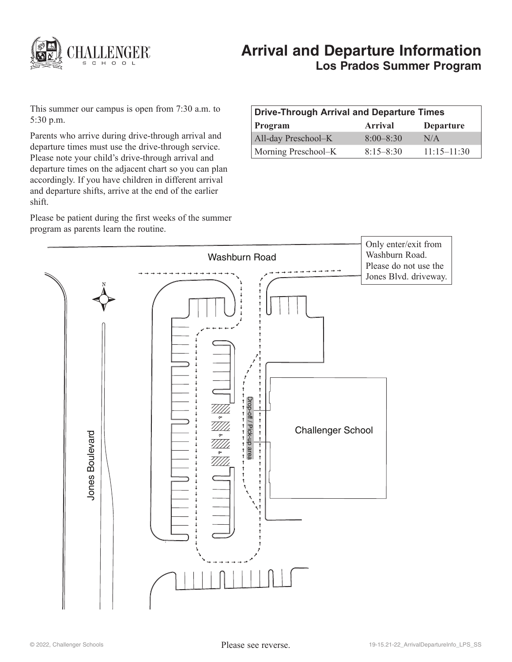

# **Arrival and Departure Information Los Prados Summer Program**

This summer our campus is open from 7:30 a.m. to 5:30 p.m.

Parents who arrive during drive-through arrival and departure times must use the drive-through service. Please note your child's drive-through arrival and departure times on the adjacent chart so you can plan accordingly. If you have children in different arrival and departure shifts, arrive at the end of the earlier shift.

Please be patient during the first weeks of the summer program as parents learn the routine.

| Drive-Through Arrival and Departure Times |                |                  |
|-------------------------------------------|----------------|------------------|
| Program                                   | <b>Arrival</b> | <b>Departure</b> |
| All-day Preschool-K                       | $8:00 - 8:30$  | N/A              |
| Morning Preschool–K                       | $8:15 - 8:30$  | $11:15 - 11:30$  |